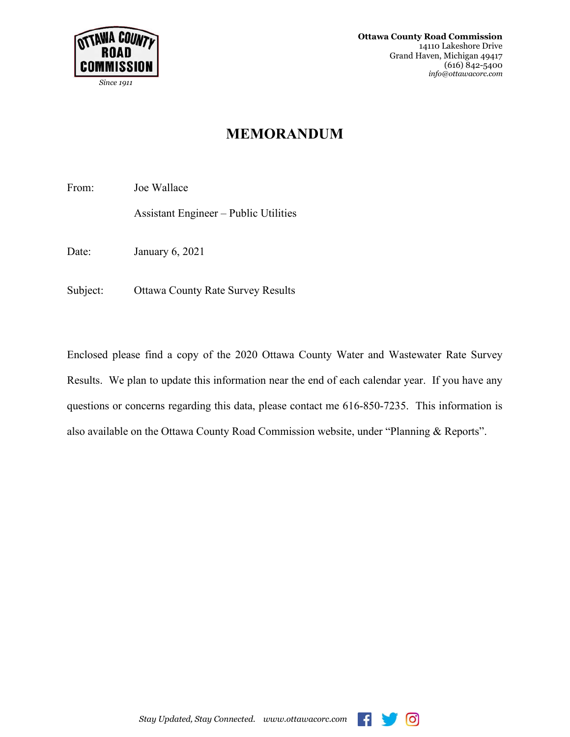

 *Since 1911*

**Ottawa County Road Commission** 14110 Lakeshore Drive Grand Haven, Michigan 49417 (616) 842-5400*info@ottawacorc.com*

## **MEMORANDUM**

From: Joe Wallace

Assistant Engineer – Public Utilities

Date: January 6, 2021

Subject: Ottawa County Rate Survey Results

Enclosed please find a copy of the 2020 Ottawa County Water and Wastewater Rate Survey Results. We plan to update this information near the end of each calendar year. If you have any questions or concerns regarding this data, please contact me 616-850-7235. This information is also available on the Ottawa County Road Commission website, under "Planning & Reports".



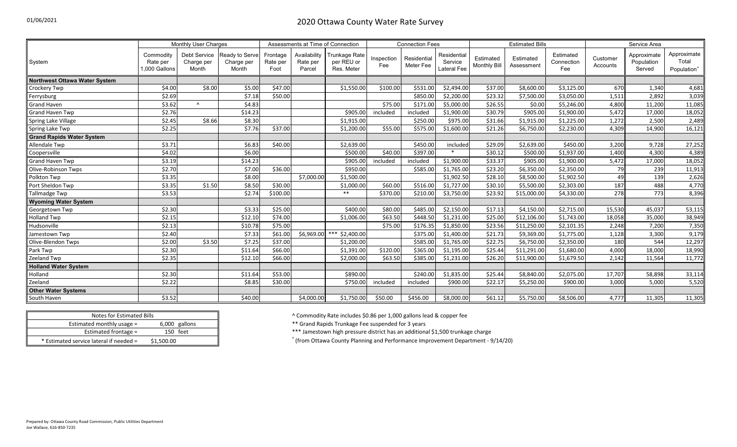|                                      | <b>Monthly User Charges</b>            |                                     |                                       | Assessments at Time of Connection |                                    |                                           | <b>Connection Fees</b> |                          |                                              |                                  | <b>Estimated Bills</b>  |                                | Service Area         |                                     |                                                 |
|--------------------------------------|----------------------------------------|-------------------------------------|---------------------------------------|-----------------------------------|------------------------------------|-------------------------------------------|------------------------|--------------------------|----------------------------------------------|----------------------------------|-------------------------|--------------------------------|----------------------|-------------------------------------|-------------------------------------------------|
| System                               | Commodity<br>Rate per<br>1.000 Gallons | Debt Service<br>Charge per<br>Month | Ready to Serve<br>Charge per<br>Month | Frontage<br>Rate per<br>Foot      | Availability<br>Rate per<br>Parcel | Trunkage Rate<br>per REU or<br>Res. Meter | Inspection<br>Fee      | Residential<br>Meter Fee | Residential<br>Service<br><b>Lateral Fee</b> | Estimated<br><b>Monthly Bill</b> | Estimated<br>Assessment | Estimated<br>Connection<br>Fee | Customer<br>Accounts | Approximate<br>Population<br>Served | Approximate<br>Total<br>Population <sup>+</sup> |
| <b>Northwest Ottawa Water System</b> |                                        |                                     |                                       |                                   |                                    |                                           |                        |                          |                                              |                                  |                         |                                |                      |                                     |                                                 |
| Crockery Twp                         | \$4.00                                 | \$8.00                              | \$5.00                                | \$47.00                           |                                    | \$1,550.00                                | \$100.00               | \$531.00                 | \$2,494.00                                   | \$37.00                          | \$8,600.00              | \$3,125.00                     | 670                  | 1,340                               | 4,681                                           |
| Ferrysburg                           | \$2.69                                 |                                     | \$7.18                                | \$50.00                           |                                    |                                           |                        | \$850.00                 | \$2,200.00                                   | \$23.32                          | \$7,500.00              | \$3,050.00                     | 1,511                | 2,892                               | 3,039                                           |
| <b>Grand Haven</b>                   | \$3.62                                 | $\Lambda$                           | \$4.83                                |                                   |                                    |                                           | \$75.00                | \$171.00                 | \$5,000.00                                   | \$26.55                          | \$0.00                  | \$5,246.00                     | 4,800                | 11,200                              | 11,085                                          |
| Grand Haven Twp                      | \$2.76                                 |                                     | \$14.23                               |                                   |                                    | \$905.00                                  | included               | included                 | \$1,900.00                                   | \$30.79                          | \$905.00                | \$1,900.00                     | 5,472                | 17,000                              | 18,052                                          |
| Spring Lake Village                  | \$2.45                                 | \$8.66                              | \$8.30                                |                                   |                                    | \$1,915.00                                |                        | \$250.00                 | \$975.00                                     | \$31.66                          | \$1,915.00              | \$1,225.00                     | 1,272                | 2,500                               | 2,489                                           |
| Spring Lake Twp                      | \$2.25                                 |                                     | \$7.76                                | \$37.00                           |                                    | \$1,200.00                                | \$55.00                | \$575.00                 | \$1,600.00                                   | \$21.26                          | \$6,750.00              | \$2,230.00                     | 4,309                | 14,900                              | 16,121                                          |
| <b>Grand Rapids Water System</b>     |                                        |                                     |                                       |                                   |                                    |                                           |                        |                          |                                              |                                  |                         |                                |                      |                                     |                                                 |
| Allendale Twp                        | \$3.71                                 |                                     | \$6.83                                | \$40.00                           |                                    | \$2,639.00                                |                        | \$450.00                 | included                                     | \$29.09                          | \$2,639.00              | \$450.00                       | 3,200                | 9,728                               | 27,252                                          |
| Coopersville                         | \$4.02                                 |                                     | \$6.00                                |                                   |                                    | \$500.00                                  | \$40.00                | \$397.00                 |                                              | \$30.12                          | \$500.00                | \$1,937.00                     | 1,400                | 4,300                               | 4,389                                           |
| Grand Haven Twp                      | \$3.19                                 |                                     | \$14.23                               |                                   |                                    | \$905.00                                  | included               | included                 | \$1,900.00                                   | \$33.37                          | \$905.00                | \$1,900.00                     | 5,472                | 17,000                              | 18,052                                          |
| Olive-Robinson Twps                  | \$2.70                                 |                                     | \$7.00                                | \$36.00                           |                                    | \$950.00                                  |                        | \$585.00                 | \$1,765.00                                   | \$23.20                          | \$6,350.00              | \$2,350.00                     | 79                   | 239                                 | 11,913                                          |
| Polkton Twp                          | \$3.35                                 |                                     | \$8.00                                |                                   | \$7,000.00                         | \$1,500.00                                |                        |                          | \$1,902.50                                   | \$28.10                          | \$8,500.00              | \$1,902.50                     | 49                   | 139                                 | 2,626                                           |
| Port Sheldon Twp                     | \$3.35                                 | \$1.50                              | \$8.50                                | \$30.00                           |                                    | \$1,000.00                                | \$60.00                | \$516.00                 | \$1,727.00                                   | \$30.10                          | \$5,500.00              | \$2,303.00                     | 187                  | 488                                 | 4,770                                           |
| Tallmadge Twp                        | \$3.53                                 |                                     | \$2.74                                | \$100.00                          |                                    | $***$                                     | \$370.00               | \$210.00                 | \$3,750.00                                   | \$23.92                          | \$15,000.00             | \$4,330.00                     | 278                  | 773                                 | 8,396                                           |
| <b>Wyoming Water System</b>          |                                        |                                     |                                       |                                   |                                    |                                           |                        |                          |                                              |                                  |                         |                                |                      |                                     |                                                 |
| Georgetown Twp                       | \$2.30                                 |                                     | \$3.33                                | \$25.00                           |                                    | \$400.00                                  | \$80.00                | \$485.00                 | \$2,150.00                                   | \$17.13                          | \$4,150.00              | \$2,715.00                     | 15,530               | 45,037                              | 53,115                                          |
| <b>Holland Twp</b>                   | \$2.15                                 |                                     | \$12.10                               | \$74.00                           |                                    | \$1,006.00                                | \$63.50                | \$448.50                 | \$1,231.00                                   | \$25.00                          | \$12,106.00             | \$1,743.00                     | 18,058               | 35,000                              | 38,949                                          |
| Hudsonville                          | \$2.13                                 |                                     | \$10.78                               | \$75.00                           |                                    |                                           | \$75.00                | \$176.35                 | \$1,850.00                                   | \$23.56                          | \$11,250.00             | \$2,101.35                     | 2,248                | 7,200                               | 7,350                                           |
| Jamestown Twp                        | \$2.40                                 |                                     | \$7.33                                | \$61.00                           | \$6,969.00                         | \$2,400.00                                |                        | \$375.00                 | \$1,400.00                                   | \$21.73                          | \$9,369.00              | \$1,775.00                     | 1,128                | 3,300                               | 9,179                                           |
| Olive-Blendon Twps                   | \$2.00                                 | \$3.50                              | \$7.25                                | \$37.00                           |                                    | \$1,200.00                                |                        | \$585.00                 | \$1,765.00                                   | \$22.75                          | \$6,750.00              | \$2,350.00                     | 180                  | 544                                 | 12,297                                          |
| Park Twp                             | \$2.30                                 |                                     | \$11.64                               | \$66.00                           |                                    | \$1,391.00                                | \$120.00               | \$365.00                 | \$1,195.00                                   | \$25.44                          | \$11,291.00             | \$1,680.00                     | 4,000                | 18,000                              | 18,990                                          |
| Zeeland Twp                          | \$2.35                                 |                                     | \$12.10                               | \$66.00                           |                                    | \$2,000.00                                | \$63.50                | \$385.00                 | \$1,231.00                                   | \$26.20                          | \$11,900.00             | \$1,679.50                     | 2,142                | 11,564                              | 11,772                                          |
| <b>Holland Water System</b>          |                                        |                                     |                                       |                                   |                                    |                                           |                        |                          |                                              |                                  |                         |                                |                      |                                     |                                                 |
| Holland                              | \$2.30                                 |                                     | \$11.64                               | \$53.00                           |                                    | \$890.00                                  |                        | \$240.00                 | \$1,835.00                                   | \$25.44                          | \$8,840.00              | \$2,075.00                     | 17,707               | 58,898                              | 33,114                                          |
| Zeeland                              | \$2.22                                 |                                     | \$8.85                                | \$30.00                           |                                    | \$750.00                                  | included               | included                 | \$900.00                                     | \$22.17                          | \$5,250.00              | \$900.00                       | 3,000                | 5,000                               | 5,520                                           |
| <b>Other Water Systems</b>           |                                        |                                     |                                       |                                   |                                    |                                           |                        |                          |                                              |                                  |                         |                                |                      |                                     |                                                 |
| South Haven                          | \$3.52                                 |                                     | \$40.00                               |                                   | \$4,000.00                         | \$1,750.00                                | \$50.00                | \$456.00                 | \$8,000.00                                   | \$61.12                          | \$5,750.00              | \$8,506.00                     | 4,777                | 11,305                              | 11,305                                          |

| Notes for Estimated Bills               |               |  |
|-----------------------------------------|---------------|--|
| Estimated monthly usage $=$             | 6,000 gallons |  |
| Estimated frontage =                    | 150 feet      |  |
| * Estimated service lateral if needed = | \$1,500.00    |  |

^ Commodity Rate includes \$0.86 per 1,000 gallons lead & copper fee

\*\* Grand Rapids Trunkage Fee suspended for 3 years

\*\*\* Jamestown high pressure district has an additional \$1,500 trunkage charge

(from Ottawa County Planning and Performance Improvement Department - 9/14/20)